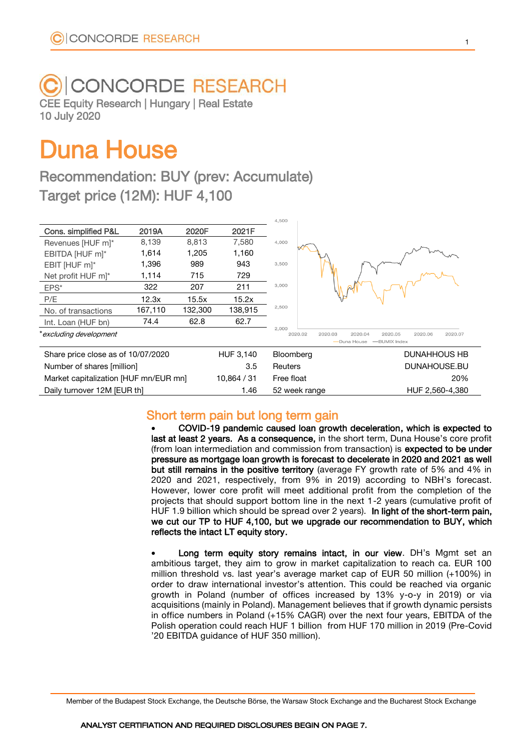# **CONCORDE RESEARCH**

CEE Equity Research | Hungary | Real Estate 10 July 2020

# Duna House

Recommendation: BUY (prev: Accumulate) Target price (12M): HUF 4,100

|                                       |         |         |             | 4,500            |                                                     |
|---------------------------------------|---------|---------|-------------|------------------|-----------------------------------------------------|
| Cons. simplified P&L                  | 2019A   | 2020F   | 2021F       |                  |                                                     |
| Revenues [HUF m]*                     | 8,139   | 8,813   | 7,580       | 4,000            |                                                     |
| EBITDA [HUF m]*                       | 1,614   | 1,205   | 1,160       |                  |                                                     |
| EBIT [HUF m]*                         | 1,396   | 989     | 943         | 3,500            |                                                     |
| Net profit HUF m <sup>*</sup>         | 1,114   | 715     | 729         |                  |                                                     |
| EPS*                                  | 322     | 207     | 211         | 3,000            |                                                     |
| P/E                                   | 12.3x   | 15.5x   | 15.2x       |                  |                                                     |
| No. of transactions                   | 167,110 | 132,300 | 138,915     | 2,500            |                                                     |
| Int. Loan (HUF bn)                    | 74.4    | 62.8    | 62.7        |                  |                                                     |
| *excluding development                |         |         |             | 2,000<br>2020.02 | 2020.05<br>2020.07<br>2020.03<br>2020.04<br>2020.06 |
|                                       |         |         |             |                  | -BUMIX Index<br>-Duna House                         |
| Share price close as of 10/07/2020    |         |         | HUF 3,140   | Bloomberg        | <b>DUNAHHOUS HB</b>                                 |
| Number of shares [million]            |         |         | 3.5         | Reuters          | DUNAHOUSE.BU                                        |
| Market capitalization [HUF mn/EUR mn] |         |         | 10,864 / 31 | Free float       | 20%                                                 |
| Daily turnover 12M [EUR th]           |         |         | 1.46        | 52 week range    | HUF 2,560-4,380                                     |

# Short term pain but long term gain

 COVID-19 pandemic caused loan growth deceleration, which is expected to last at least 2 years. As a consequence, in the short term, Duna House's core profit (from loan intermediation and commission from transaction) is expected to be under pressure as mortgage loan growth is forecast to decelerate in 2020 and 2021 as well but still remains in the positive territory (average FY growth rate of 5% and 4% in 2020 and 2021, respectively, from 9% in 2019) according to NBH's forecast. However, lower core profit will meet additional profit from the completion of the projects that should support bottom line in the next 1-2 years (cumulative profit of HUF 1.9 billion which should be spread over 2 years). In light of the short-term pain, we cut our TP to HUF 4,100, but we upgrade our recommendation to BUY, which reflects the intact LT equity story.

 Long term equity story remains intact, in our view. DH's Mgmt set an ambitious target, they aim to grow in market capitalization to reach ca. EUR 100 million threshold vs. last year's average market cap of EUR 50 million (+100%) in order to draw international investor's attention. This could be reached via organic growth in Poland (number of offices increased by 13% y-o-y in 2019) or via acquisitions (mainly in Poland). Management believes that if growth dynamic persists in office numbers in Poland (+15% CAGR) over the next four years, EBITDA of the Polish operation could reach HUF 1 billion from HUF 170 million in 2019 (Pre-Covid '20 EBITDA guidance of HUF 350 million).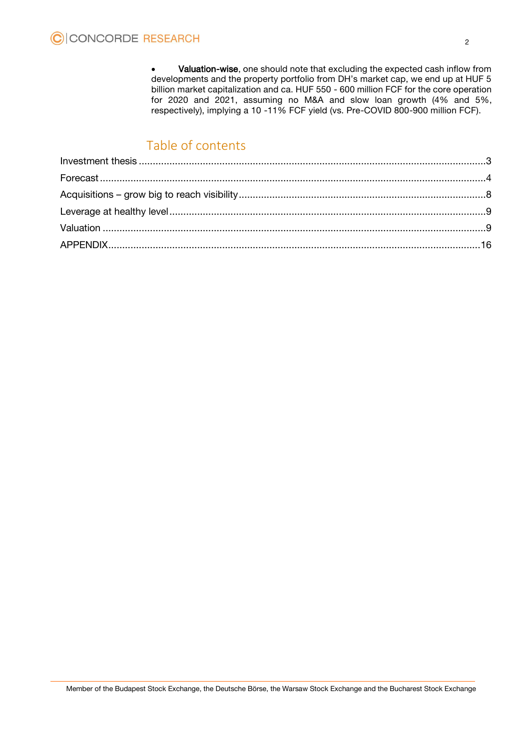Valuation-wise, one should note that excluding the expected cash inflow from developments and the property portfolio from DH's market cap, we end up at HUF 5 billion market capitalization and ca. HUF 550 - 600 million FCF for the core operation for 2020 and 2021, assuming no M&A and slow loan growth (4% and 5%, respectively), implying a 10 -11% FCF yield (vs. Pre-COVID 800-900 million FCF).

# Table of contents

<span id="page-1-0"></span>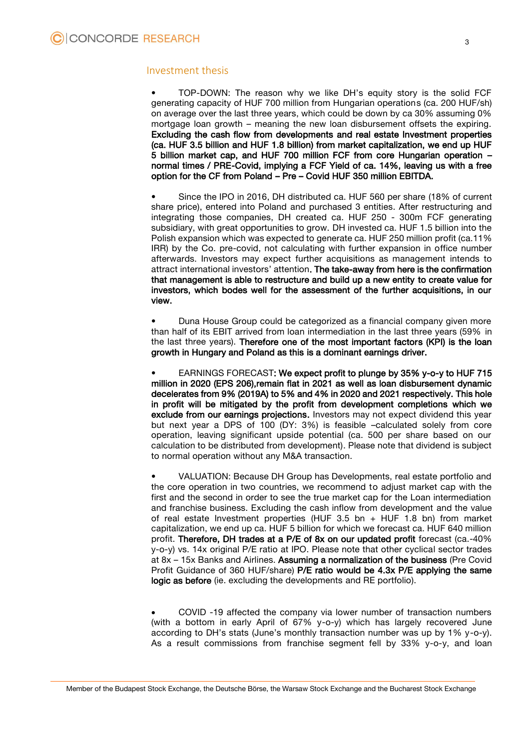#### Investment thesis

• TOP-DOWN: The reason why we like DH's equity story is the solid FCF generating capacity of HUF 700 million from Hungarian operations (ca. 200 HUF/sh) on average over the last three years, which could be down by ca 30% assuming 0% mortgage loan growth – meaning the new loan disbursement offsets the expiring. Excluding the cash flow from developments and real estate Investment properties (ca. HUF 3.5 billion and HUF 1.8 billion) from market capitalization, we end up HUF 5 billion market cap, and HUF 700 million FCF from core Hungarian operation – normal times / PRE-Covid, implying a FCF Yield of ca. 14%, leaving us with a free option for the CF from Poland – Pre – Covid HUF 350 million EBITDA.

• Since the IPO in 2016, DH distributed ca. HUF 560 per share (18% of current share price), entered into Poland and purchased 3 entities. After restructuring and integrating those companies, DH created ca. HUF 250 - 300m FCF generating subsidiary, with great opportunities to grow. DH invested ca. HUF 1.5 billion into the Polish expansion which was expected to generate ca. HUF 250 million profit (ca.11% IRR) by the Co. pre-covid, not calculating with further expansion in office number afterwards. Investors may expect further acquisitions as management intends to attract international investors' attention. The take-away from here is the confirmation that management is able to restructure and build up a new entity to create value for investors, which bodes well for the assessment of the further acquisitions, in our view.

• Duna House Group could be categorized as a financial company given more than half of its EBIT arrived from loan intermediation in the last three years (59% in the last three years). Therefore one of the most important factors (KPI) is the loan growth in Hungary and Poland as this is a dominant earnings driver.

• EARNINGS FORECAST: We expect profit to plunge by 35% y-o-y to HUF 715 million in 2020 (EPS 206),remain flat in 2021 as well as loan disbursement dynamic decelerates from 9% (2019A) to 5% and 4% in 2020 and 2021 respectively. This hole in profit will be mitigated by the profit from development completions which we exclude from our earnings projections. Investors may not expect dividend this year but next year a DPS of 100 (DY: 3%) is feasible –calculated solely from core operation, leaving significant upside potential (ca. 500 per share based on our calculation to be distributed from development). Please note that dividend is subject to normal operation without any M&A transaction.

• VALUATION: Because DH Group has Developments, real estate portfolio and the core operation in two countries, we recommend to adjust market cap with the first and the second in order to see the true market cap for the Loan intermediation and franchise business. Excluding the cash inflow from development and the value of real estate Investment properties (HUF 3.5 bn + HUF 1.8 bn) from market capitalization, we end up ca. HUF 5 billion for which we forecast ca. HUF 640 million profit. Therefore, DH trades at a P/E of 8x on our updated profit forecast (ca.-40% y-o-y) vs. 14x original P/E ratio at IPO. Please note that other cyclical sector trades at 8x – 15x Banks and Airlines. Assuming a normalization of the business (Pre Covid Profit Guidance of 360 HUF/share) P/E ratio would be 4.3x P/E applying the same logic as before (ie. excluding the developments and RE portfolio).

 COVID -19 affected the company via lower number of transaction numbers (with a bottom in early April of 67% y-o-y) which has largely recovered June according to DH's stats (June's monthly transaction number was up by 1% y-o-y). As a result commissions from franchise segment fell by 33% y-o-y, and loan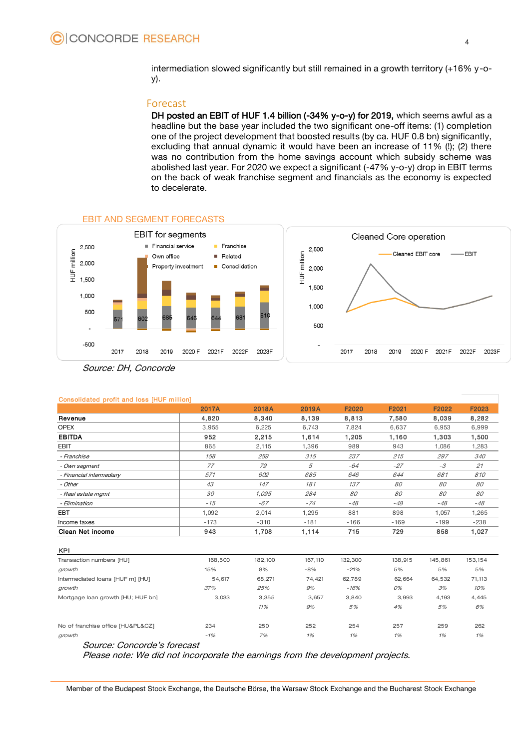intermediation slowed significantly but still remained in a growth territory (+16% y-oy).

#### <span id="page-3-0"></span>Forecast

DH posted an EBIT of HUF 1.4 billion (-34% y-o-y) for 2019, which seems awful as a headline but the base year included the two significant one-off items: (1) completion one of the project development that boosted results (by ca. HUF 0.8 bn) significantly, excluding that annual dynamic it would have been an increase of 11% (!); (2) there was no contribution from the home savings account which subsidy scheme was abolished last year. For 2020 we expect a significant (-47% y-o-y) drop in EBIT terms on the back of weak franchise segment and financials as the economy is expected to decelerate.



#### EBIT AND SEGMENT FORECASTS

| <b>UURINGLUG PIUR GRUP ROOP PIUR RUPUL</b> |              |        |        |        |        |        |            |
|--------------------------------------------|--------------|--------|--------|--------|--------|--------|------------|
|                                            | <b>2017A</b> | 2018A  | 2019A  | F2020  | F2021  | F2022  | F2023      |
| Revenue                                    | 4,820        | 8,340  | 8,139  | 8,813  | 7,580  | 8,039  | 8,282      |
| <b>OPEX</b>                                | 3.955        | 6,225  | 6,743  | 7.824  | 6,637  | 6,953  | 6,999      |
| <b>EBITDA</b>                              | 952          | 2,215  | 1,614  | 1,205  | 1,160  | 1,303  | 1,500      |
| <b>EBIT</b>                                | 865          | 2,115  | 1,396  | 989    | 943    | 1.086  | 1,283      |
| - Franchise                                | 158          | 259    | 315    | 237    | 215    | 297    | <i>340</i> |
| - Own segment                              | 77           | 79     | 5      | -64    | $-27$  | $-3$   | 21         |
| - Financial intermediary                   | 571          | 602    | 685    | 646    | 644    | 681    | 810        |
| - Other                                    | 43           | 147    | 181    | 137    | 80     | 80     | 80         |
| - Real estate mgmt                         | 30           | 1.095  | 284    | 80     | 80     | 80     | 80         |
| - Elimination                              | $-15$        | $-67$  | $-74$  | $-48$  | -48    | $-48$  | $-48$      |
| EBT                                        | 1,092        | 2,014  | 1,295  | 881    | 898    | 1,057  | 1,265      |
| Income taxes                               | $-173$       | $-310$ | $-181$ | $-166$ | $-169$ | $-199$ | $-238$     |
| <b>Clean Net income</b>                    | 943          | 1,708  | 1,114  | 715    | 729    | 858    | 1,027      |

#### Consolidated profit and loss [HUF million]

| <b>UIGGII INGLIIIUUIIIG</b>       | っっし     | 1,7 UU  | .       | .       | 100     |         | ، ےں, ا |
|-----------------------------------|---------|---------|---------|---------|---------|---------|---------|
|                                   |         |         |         |         |         |         |         |
| <b>KPI</b>                        |         |         |         |         |         |         |         |
| Transaction numbers [HU]          | 168,500 | 182,100 | 167,110 | 132,300 | 138,915 | 145,861 | 153,154 |
| growth                            | 15%     | 8%      | $-8%$   | $-21%$  | 5%      | 5%      | 5%      |
| Intermediated loans [HUF m] [HU]  | 54,617  | 68,271  | 74,421  | 62,789  | 62,664  | 64,532  | 71,113  |
| growth                            | 37%     | 25%     | 9%      | -16%    | 0%      | 3%      | 10%     |
| Mortgage loan growth [HU; HUF bn] | 3,033   | 3,355   | 3,657   | 3,840   | 3,993   | 4,193   | 4,445   |
|                                   |         | 11%     | 9%      | 5%      | 4%      | 5%      | 6%      |
| No of franchise office [HU&PL&CZ] | 234     | 250     | 252     | 254     | 257     | 259     | 262     |
| growth                            | $-1%$   | 7%      | 1%      | 1%      | 1%      | 1%      | 1%      |
| Source: Concorde's forecast       |         |         |         |         |         |         |         |

Source: Concorde's forecast

Please note: We did not incorporate the earnings from the development projects.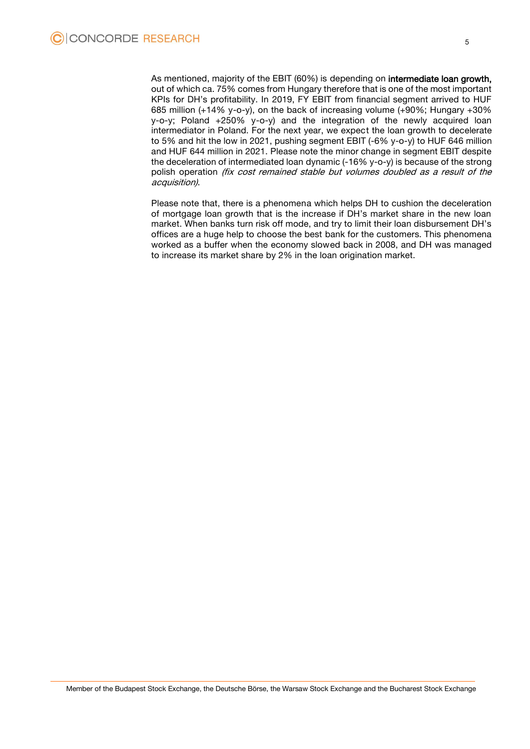As mentioned, majority of the EBIT (60%) is depending on intermediate loan growth, out of which ca. 75% comes from Hungary therefore that is one of the most important KPIs for DH's profitability. In 2019, FY EBIT from financial segment arrived to HUF 685 million (+14% y-o-y), on the back of increasing volume (+90%; Hungary +30% y-o-y; Poland +250% y-o-y) and the integration of the newly acquired loan intermediator in Poland. For the next year, we expect the loan growth to decelerate to 5% and hit the low in 2021, pushing segment EBIT (-6% y-o-y) to HUF 646 million and HUF 644 million in 2021. Please note the minor change in segment EBIT despite the deceleration of intermediated loan dynamic (-16% y-o-y) is because of the strong polish operation (fix cost remained stable but volumes doubled as a result of the acquisition).

Please note that, there is a phenomena which helps DH to cushion the deceleration of mortgage loan growth that is the increase if DH's market share in the new loan market. When banks turn risk off mode, and try to limit their loan disbursement DH's offices are a huge help to choose the best bank for the customers. This phenomena worked as a buffer when the economy slowed back in 2008, and DH was managed to increase its market share by 2% in the loan origination market.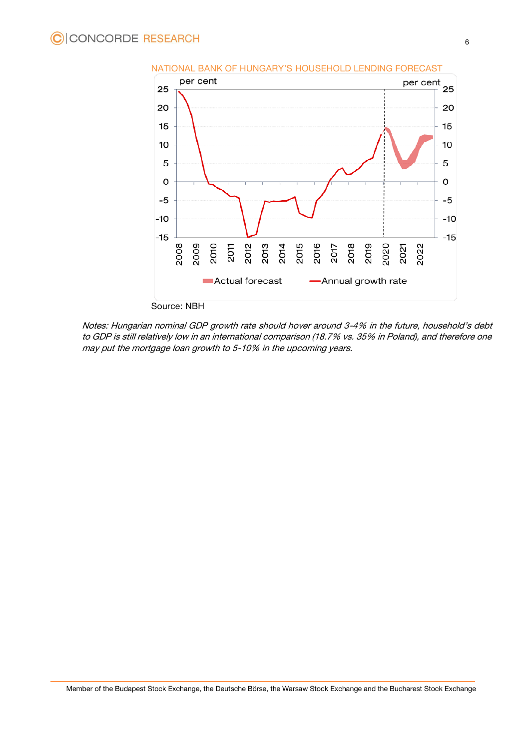

Notes: Hungarian nominal GDP growth rate should hover around 3-4% in the future, household's debt to GDP is still relatively low in an international comparison (18.7% vs. 35% in Poland), and therefore one may put the mortgage loan growth to 5-10% in the upcoming years.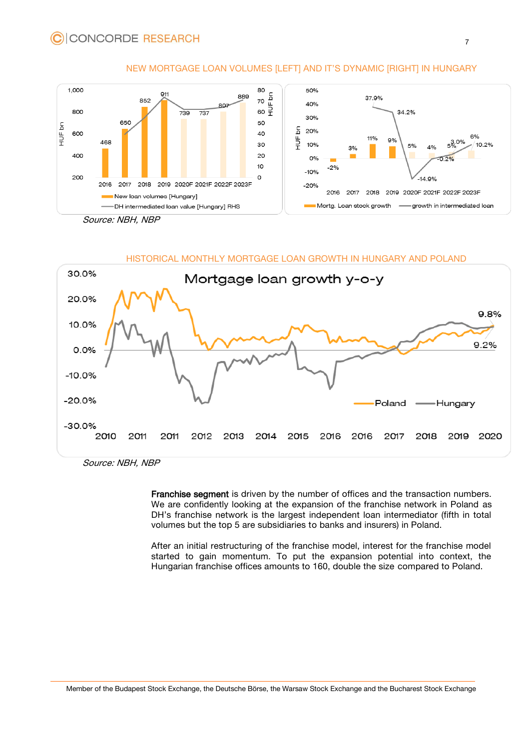

#### NEW MORTGAGE LOAN VOLUMES [LEFT] AND IT'S DYNAMIC [RIGHT] IN HUNGARY

Source: NBH, NBP

# HISTORICAL MONTHLY MORTGAGE LOAN GROWTH IN HUNGARY AND POLAND



Source: NBH, NBP

Franchise segment is driven by the number of offices and the transaction numbers. We are confidently looking at the expansion of the franchise network in Poland as DH's franchise network is the largest independent loan intermediator (fifth in total volumes but the top 5 are subsidiaries to banks and insurers) in Poland.

After an initial restructuring of the franchise model, interest for the franchise model started to gain momentum. To put the expansion potential into context, the Hungarian franchise offices amounts to 160, double the size compared to Poland.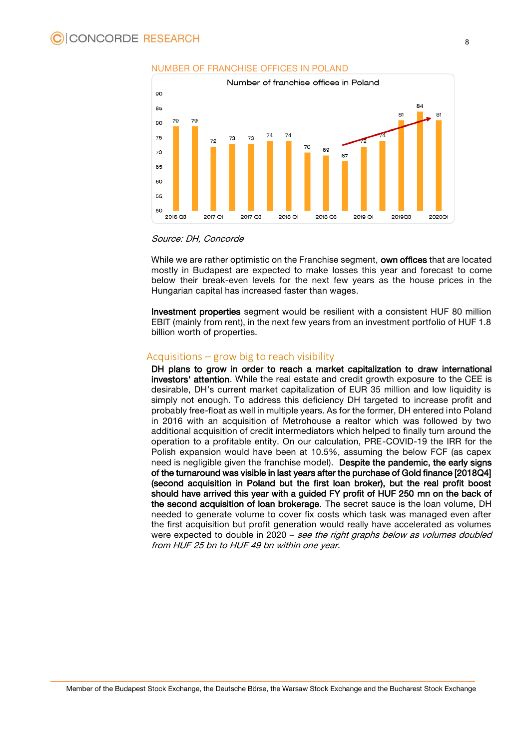

#### NUMBER OF FRANCHISE OFFICES IN POLAND

#### Source: DH, Concorde

While we are rather optimistic on the Franchise segment, **own offices** that are located mostly in Budapest are expected to make losses this year and forecast to come below their break-even levels for the next few years as the house prices in the Hungarian capital has increased faster than wages.

Investment properties segment would be resilient with a consistent HUF 80 million EBIT (mainly from rent), in the next few years from an investment portfolio of HUF 1.8 billion worth of properties.

#### <span id="page-7-0"></span>Acquisitions – grow big to reach visibility

DH plans to grow in order to reach a market capitalization to draw international investors' attention. While the real estate and credit growth exposure to the CEE is desirable, DH's current market capitalization of EUR 35 million and low liquidity is simply not enough. To address this deficiency DH targeted to increase profit and probably free-float as well in multiple years. As for the former, DH entered into Poland in 2016 with an acquisition of Metrohouse a realtor which was followed by two additional acquisition of credit intermediators which helped to finally turn around the operation to a profitable entity. On our calculation, PRE-COVID-19 the IRR for the Polish expansion would have been at 10.5%, assuming the below FCF (as capex need is negligible given the franchise model). Despite the pandemic, the early signs of the turnaround was visible in last years after the purchase of Gold finance [2018Q4] (second acquisition in Poland but the first loan broker), but the real profit boost should have arrived this year with a guided FY profit of HUF 250 mn on the back of the second acquisition of loan brokerage. The secret sauce is the loan volume, DH needed to generate volume to cover fix costs which task was managed even after the first acquisition but profit generation would really have accelerated as volumes were expected to double in 2020 – see the right graphs below as volumes doubled from HUF 25 bn to HUF 49 bn within one year.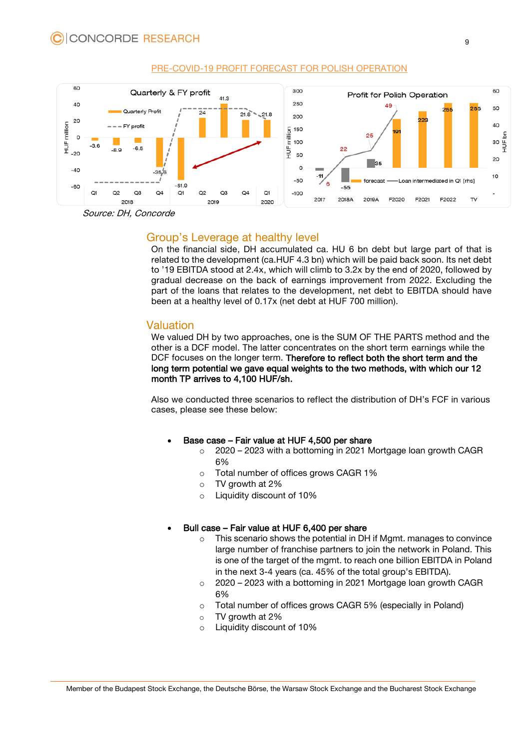

#### PRE-COVID-19 PROFIT FORECAST FOR POLISH OPERATION

<span id="page-8-0"></span>Source: DH, Concorde

# Group's Leverage at healthy level

On the financial side, DH accumulated ca. HU 6 bn debt but large part of that is related to the development (ca.HUF 4.3 bn) which will be paid back soon. Its net debt to '19 EBITDA stood at 2.4x, which will climb to 3.2x by the end of 2020, followed by gradual decrease on the back of earnings improvement from 2022. Excluding the part of the loans that relates to the development, net debt to EBITDA should have been at a healthy level of 0.17x (net debt at HUF 700 million).

# <span id="page-8-1"></span>Valuation

We valued DH by two approaches, one is the SUM OF THE PARTS method and the other is a DCF model. The latter concentrates on the short term earnings while the DCF focuses on the longer term. Therefore to reflect both the short term and the long term potential we gave equal weights to the two methods, with which our 12 month TP arrives to 4,100 HUF/sh.

Also we conducted three scenarios to reflect the distribution of DH's FCF in various cases, please see these below:

#### Base case – Fair value at HUF 4,500 per share

- o 2020 2023 with a bottoming in 2021 Mortgage loan growth CAGR 6%
- o Total number of offices grows CAGR 1%
- $\circ$  TV growth at 2%
- o Liquidity discount of 10%

# Bull case – Fair value at HUF 6,400 per share

- o This scenario shows the potential in DH if Mgmt. manages to convince large number of franchise partners to join the network in Poland. This is one of the target of the mgmt. to reach one billion EBITDA in Poland in the next 3-4 years (ca. 45% of the total group's EBITDA).
- o 2020 2023 with a bottoming in 2021 Mortgage loan growth CAGR 6%
- o Total number of offices grows CAGR 5% (especially in Poland)
- o TV growth at 2%
- o Liquidity discount of 10%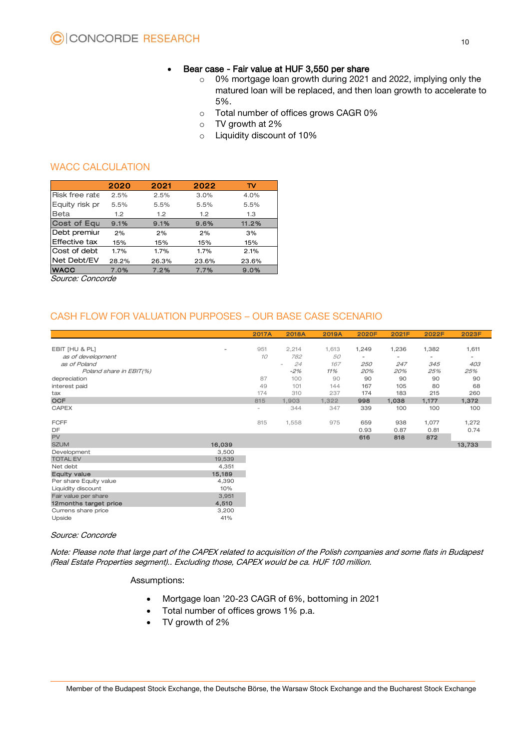## • Bear case - Fair value at HUF 3,550 per share

- o 0% mortgage loan growth during 2021 and 2022, implying only the matured loan will be replaced, and then loan growth to accelerate to 5%.
- o Total number of offices grows CAGR 0%
- o TV growth at 2%
- o Liquidity discount of 10%

# WACC CALCULATION

|                      | <b>WACC CALCULATION</b> |                  |       |       |  |  |  |  |  |
|----------------------|-------------------------|------------------|-------|-------|--|--|--|--|--|
|                      | 2020                    | 2021             | 2022  | TV    |  |  |  |  |  |
| Risk free rate       | 2.5%                    | 2.5%             | 3.0%  | 4.0%  |  |  |  |  |  |
| Equity risk pr       | 5.5%                    | 5.5%             | 5.5%  | 5.5%  |  |  |  |  |  |
| Beta                 | 1.2 <sub>1</sub>        | 1.2 <sub>1</sub> | 1.2   | 1.3   |  |  |  |  |  |
| <b>Cost of Equ</b>   | 9.1%                    | 9.1%             | 9.6%  | 11.2% |  |  |  |  |  |
| Debt premiur         | 2%                      | 2%               | 2%    | 3%    |  |  |  |  |  |
| <b>Effective tax</b> | 15%                     | 15%              | 15%   | 15%   |  |  |  |  |  |
| Cost of debt         | 1.7%                    | 1.7%             | 1.7%  | 2.1%  |  |  |  |  |  |
| Net Debt/EV          | 28.2%                   | 26.3%            | 23.6% | 23.6% |  |  |  |  |  |
| <b>WACC</b>          | 7.0%                    | 7.2%             | 7.7%  | 9.0%  |  |  |  |  |  |
| Sauroo: Concordo     |                         |                  |       |       |  |  |  |  |  |

Source: Concorde

# CASH FLOW FOR VALUATION PURPOSES – OUR BASE CASE SCENARIO

|                         |                          | 2017A                    | <b>2018A</b>                   | 2019A | <b>2020F</b>   | 2021F | 2022F                    | 2023F             |
|-------------------------|--------------------------|--------------------------|--------------------------------|-------|----------------|-------|--------------------------|-------------------|
|                         |                          |                          |                                |       |                |       |                          |                   |
| EBIT [HU & PL]          | $\overline{\phantom{0}}$ | 951                      | 2,214                          | 1,613 | 1,249          | 1,236 | 1,382                    | 1,611             |
| as of development       |                          | 10                       | 782                            | 50    | $\overline{a}$ | -     | $\overline{\phantom{a}}$ | $\qquad \qquad -$ |
| as of Poland            |                          |                          | 24<br>$\overline{\phantom{0}}$ | 167   | 250            | 247   | 345                      | 403               |
| Poland share in EBIT(%) |                          |                          | $-2%$                          | 11%   | 20%            | 20%   | 25%                      | 25%               |
| depreciation            |                          | 87                       | 100                            | 90    | 90             | 90    | 90                       | 90                |
| interest paid           |                          | 49                       | 101                            | 144   | 167            | 105   | 80                       | 68                |
| tax                     |                          | 174                      | 310                            | 237   | 174            | 183   | 215                      | 260               |
| <b>OCF</b>              |                          | 815                      | 1,903                          | 1,322 | 998            | 1,038 | 1,177                    | 1,372             |
| <b>CAPEX</b>            |                          | $\overline{\phantom{0}}$ | 344                            | 347   | 339            | 100   | 100                      | 100               |
| <b>FCFF</b>             |                          | 815                      | 1,558                          | 975   | 659            | 938   | 1,077                    | 1,272             |
| DF                      |                          |                          |                                |       | 0.93           | 0.87  | 0.81                     | 0.74              |
| <b>PV</b>               |                          |                          |                                |       | 616            | 818   | 872                      |                   |
| <b>SZUM</b>             | 16,039                   |                          |                                |       |                |       |                          | 13,733            |
| Development             | 3,500                    |                          |                                |       |                |       |                          |                   |
| <b>TOTAL EV</b>         | 19,539                   |                          |                                |       |                |       |                          |                   |
| Net debt                | 4,351                    |                          |                                |       |                |       |                          |                   |
| <b>Equity value</b>     | 15,189                   |                          |                                |       |                |       |                          |                   |
| Per share Equity value  | 4,390                    |                          |                                |       |                |       |                          |                   |
| Liquidity discount      | 10%                      |                          |                                |       |                |       |                          |                   |
| Fair value per share    | 3,951                    |                          |                                |       |                |       |                          |                   |
| 12months target price   | 4,510                    |                          |                                |       |                |       |                          |                   |
| Currens share price     | 3,200                    |                          |                                |       |                |       |                          |                   |
| Upside                  | 41%                      |                          |                                |       |                |       |                          |                   |

#### Source: Concorde

Note: Please note that large part of the CAPEX related to acquisition of the Polish companies and some flats in Budapest (Real Estate Properties segment).. Excluding those, CAPEX would be ca. HUF 100 million.

#### Assumptions:

- Mortgage loan '20-23 CAGR of 6%, bottoming in 2021
- Total number of offices grows 1% p.a.
- TV growth of 2%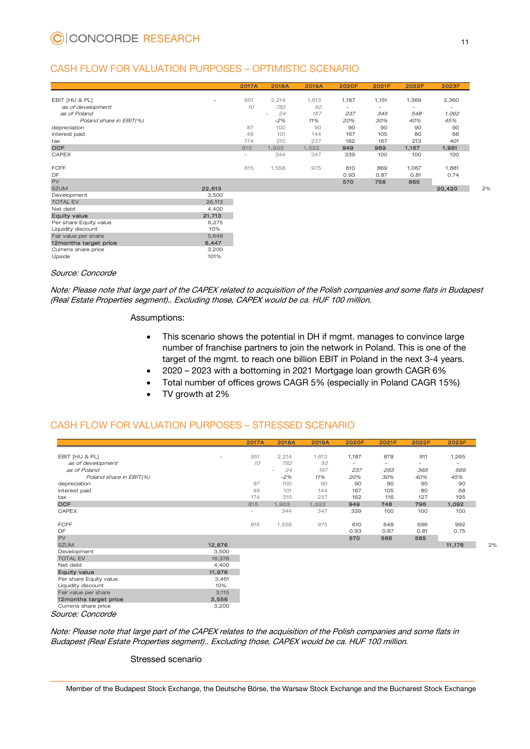# CASH FLOW FOR VALUATION PURPOSES – OPTIMISTIC SCENARIO

|                         |        | 2017A  | <b>2018A</b> | 2019A | <b>2020F</b> | 2021F | 2022F                    | 2023F  |
|-------------------------|--------|--------|--------------|-------|--------------|-------|--------------------------|--------|
|                         |        |        |              |       |              |       |                          |        |
| EBIT [HU & PL]          | ٠      | 951    | 2,214        | 1,613 | 1,187        | 1,151 | 1,369                    | 2,360  |
| as of development       |        | 10     | 782          | 50    | ۰            | -     | $\overline{\phantom{a}}$ | ۰      |
| as of Poland            |        |        | 24<br>÷      | 167   | 237          | 345   | 548                      | 1,062  |
| Poland share in EBIT(%) |        |        | $-2%$        | 11%   | 20%          | 30%   | 40%                      | 45%    |
| depreciation            |        | 87     | 100          | 90    | 90           | 90    | 90                       | 90     |
| interest paid           |        | 49     | 101          | 144   | 167          | 105   | 80                       | 68     |
| tax                     |        | 174    | 310          | 237   | 162          | 167   | 213                      | 401    |
| <b>OCF</b>              |        | 815    | 1,903        | 1,322 | 949          | 969   | 1,167                    | 1,981  |
| <b>CAPEX</b>            |        | $\sim$ | 344          | 347   | 339          | 100   | 100                      | 100    |
| <b>FCFF</b>             |        | 815    | 1,558        | 975   | 610          | 869   | 1,067                    | 1,881  |
| DF                      |        |        |              |       | 0.93         | 0.87  | 0.81                     | 0.74   |
| <b>PV</b>               |        |        |              |       | 570          | 758   | 865                      |        |
| <b>SZUM</b>             | 22,613 |        |              |       |              |       |                          | 20,420 |
| Development             | 3,500  |        |              |       |              |       |                          |        |
| <b>TOTAL EV</b>         | 26,113 |        |              |       |              |       |                          |        |
| Net debt                | 4,400  |        |              |       |              |       |                          |        |
| <b>Equity value</b>     | 21,713 |        |              |       |              |       |                          |        |
| Per share Equity value  | 6,275  |        |              |       |              |       |                          |        |
| Liquidity discount      | 10%    |        |              |       |              |       |                          |        |
| Fair value per share    | 5,648  |        |              |       |              |       |                          |        |
| 12months target price   | 6,447  |        |              |       |              |       |                          |        |
| Currens share price     | 3,200  |        |              |       |              |       |                          |        |
| Upside                  | 101%   |        |              |       |              |       |                          |        |

#### Source: Concorde

Note: Please note that large part of the CAPEX related to acquisition of the Polish companies and some flats in Budapest (Real Estate Properties segment).. Excluding those, CAPEX would be ca. HUF 100 million.

#### Assumptions:

- This scenario shows the potential in DH if mgmt. manages to convince large number of franchise partners to join the network in Poland. This is one of the target of the mgmt. to reach one billion EBIT in Poland in the next 3-4 years.
- 2020 2023 with a bottoming in 2021 Mortgage loan growth CAGR 6%
- Total number of offices grows CAGR 5% (especially in Poland CAGR 15%)
- TV growth at 2%

# CASH FLOW FOR VALUATION PURPOSES – STRESSED SCENARIO

|                         |        | 2017A  | <b>2018A</b>                   | 2019A | 2020F | 2021F | 2022F | 2023F  |
|-------------------------|--------|--------|--------------------------------|-------|-------|-------|-------|--------|
|                         |        |        |                                |       |       |       |       |        |
| EBIT [HU & PL]          | ٠      | 951    | 2,214                          | 1,613 | 1,187 | 878   | 911   | 1,265  |
| as of development       |        | 10     | 782                            | 50    | -     | -     | -     | ٠      |
| as of Poland            |        |        | 24<br>$\overline{\phantom{a}}$ | 167   | 237   | 263   | 365   | 569    |
| Poland share in EBIT(%) |        |        | $-2%$                          | 11%   | 20%   | 30%   | 40%   | 45%    |
| depreciation            |        | 87     | 100                            | 90    | 90    | 90    | 90    | 90     |
| interest paid           |        | 49     | 101                            | 144   | 167   | 105   | 80    | 68     |
| tax                     |        | 174    | 310                            | 237   | 162   | 116   | 127   | 195    |
| <b>OCF</b>              |        | 815    | 1,903                          | 1,322 | 949   | 748   | 796   | 1,092  |
| CAPEX                   |        | $\sim$ | 344                            | 347   | 339   | 100   | 100   | 100    |
| <b>FCFF</b>             |        | 815    | 1,558                          | 975   | 610   | 648   | 696   | 992    |
| DF                      |        |        |                                |       | 0.93  | 0.87  | 0.81  | 0.75   |
| <b>PV</b>               |        |        |                                |       | 570   | 566   | 565   |        |
| <b>SZUM</b>             | 12,876 |        |                                |       |       |       |       | 11,176 |
| Development             | 3,500  |        |                                |       |       |       |       |        |
| <b>TOTAL EV</b>         | 16,376 |        |                                |       |       |       |       |        |
| Net debt                | 4,400  |        |                                |       |       |       |       |        |
| <b>Equity value</b>     | 11,976 |        |                                |       |       |       |       |        |
| Per share Equity value  | 3,461  |        |                                |       |       |       |       |        |
| Liquidity discount      | 10%    |        |                                |       |       |       |       |        |
| Fair value per share    | 3,115  |        |                                |       |       |       |       |        |
| 12months target price   | 3,556  |        |                                |       |       |       |       |        |
| Currens share price     | 3,200  |        |                                |       |       |       |       |        |
| Source: Concorde        |        |        |                                |       |       |       |       |        |

Source: Concorde

Note: Please note that large part of the CAPEX relates to the acquisition of the Polish companies and some flats in Budapest (Real Estate Properties segment).. Excluding those, CAPEX would be ca. HUF 100 million.

#### Stressed scenario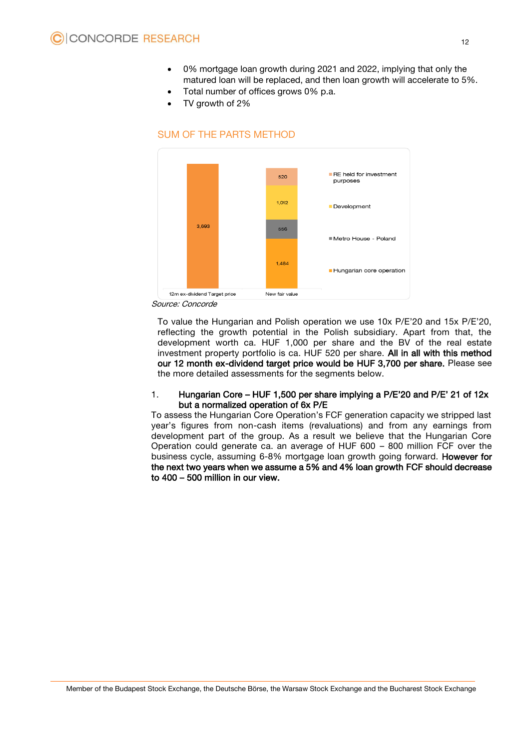- 0% mortgage loan growth during 2021 and 2022, implying that only the matured loan will be replaced, and then loan growth will accelerate to 5%.
- Total number of offices grows 0% p.a.
- TV growth of 2%

# SUM OF THE PARTS METHOD



Source: Concorde

To value the Hungarian and Polish operation we use 10x P/E'20 and 15x P/E'20, reflecting the growth potential in the Polish subsidiary. Apart from that, the development worth ca. HUF 1,000 per share and the BV of the real estate investment property portfolio is ca. HUF 520 per share. All in all with this method our 12 month ex-dividend target price would be HUF 3,700 per share. Please see the more detailed assessments for the segments below.

#### 1. Hungarian Core – HUF 1,500 per share implying a P/E'20 and P/E' 21 of 12x but a normalized operation of 6x P/E

To assess the Hungarian Core Operation's FCF generation capacity we stripped last year's figures from non-cash items (revaluations) and from any earnings from development part of the group. As a result we believe that the Hungarian Core Operation could generate ca. an average of HUF 600 – 800 million FCF over the business cycle, assuming 6-8% mortgage loan growth going forward. However for the next two years when we assume a 5% and 4% loan growth FCF should decrease to 400 – 500 million in our view.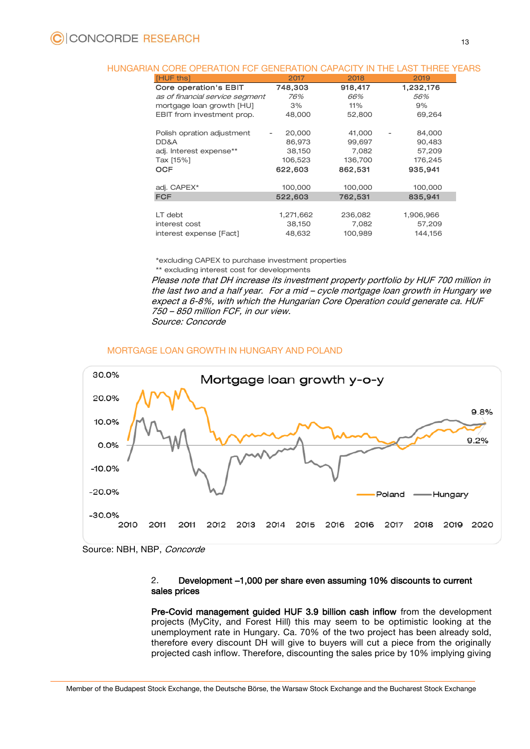#### HUNGARIAN CORE OPERATION FCF GENERATION CAPACITY IN THE LAST THREE YEARS

| [HUF ths]                       | 2017      | 2018    | 2019      |
|---------------------------------|-----------|---------|-----------|
| <b>Core operation's EBIT</b>    | 748,303   | 918,417 | 1,232,176 |
| as of financial service segment | 76%       | 66%     | 56%       |
| mortgage loan growth [HU]       | 3%        | 11%     | 9%        |
| EBIT from investment prop.      | 48,000    | 52,800  | 69,264    |
| Polish opration adjustment      | 20,000    | 41,000  | 84,000    |
| DD&A                            | 86,973    | 99,697  | 90,483    |
| adj. Interest expense**         | 38,150    | 7,082   | 57,209    |
| Tax [15%]                       | 106,523   | 136,700 | 176,245   |
| <b>OCF</b>                      | 622,603   | 862,531 | 935,941   |
| adj. CAPEX*                     | 100,000   | 100,000 | 100,000   |
| <b>FCF</b>                      | 522,603   | 762,531 | 835,941   |
| LT debt                         | 1,271,662 | 236,082 | 1,906,966 |
| interest cost                   | 38,150    | 7,082   | 57,209    |
| interest expense [Fact]         | 48,632    | 100,989 | 144,156   |

\*excluding CAPEX to purchase investment properties \*\* excluding interest cost for developments

Please note that DH increase its investment property portfolio by HUF 700 million in the last two and a half year. For a mid – cycle mortgage loan growth in Hungary we expect a 6-8%, with which the Hungarian Core Operation could generate ca. HUF 750 – 850 million FCF, in our view. Source: Concorde

#### MORTGAGE LOAN GROWTH IN HUNGARY AND POLAND



Source: NBH, NBP, Concorde

#### 2. Development –1,000 per share even assuming 10% discounts to current sales prices

Pre-Covid management guided HUF 3.9 billion cash inflow from the development projects (MyCity, and Forest Hill) this may seem to be optimistic looking at the unemployment rate in Hungary. Ca. 70% of the two project has been already sold, therefore every discount DH will give to buyers will cut a piece from the originally projected cash inflow. Therefore, discounting the sales price by 10% implying giving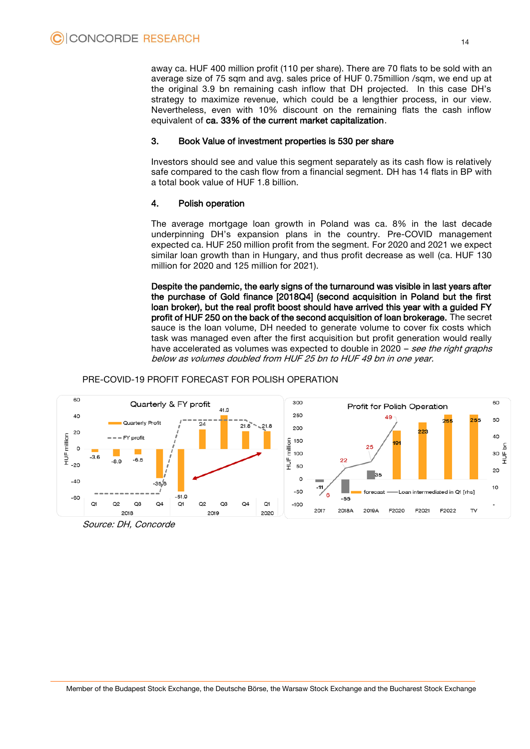away ca. HUF 400 million profit (110 per share). There are 70 flats to be sold with an average size of 75 sqm and avg. sales price of HUF 0.75million /sqm, we end up at the original 3.9 bn remaining cash inflow that DH projected. In this case DH's strategy to maximize revenue, which could be a lengthier process, in our view. Nevertheless, even with 10% discount on the remaining flats the cash inflow equivalent of ca. 33% of the current market capitalization.

#### 3. Book Value of investment properties is 530 per share

Investors should see and value this segment separately as its cash flow is relatively safe compared to the cash flow from a financial segment. DH has 14 flats in BP with a total book value of HUF 1.8 billion.

#### 4. Polish operation

The average mortgage loan growth in Poland was ca. 8% in the last decade underpinning DH's expansion plans in the country. Pre-COVID management expected ca. HUF 250 million profit from the segment. For 2020 and 2021 we expect similar loan growth than in Hungary, and thus profit decrease as well (ca. HUF 130 million for 2020 and 125 million for 2021).

Despite the pandemic, the early signs of the turnaround was visible in last years after the purchase of Gold finance [2018Q4] (second acquisition in Poland but the first loan broker), but the real profit boost should have arrived this year with a guided FY profit of HUF 250 on the back of the second acquisition of loan brokerage. The secret sauce is the loan volume, DH needed to generate volume to cover fix costs which task was managed even after the first acquisition but profit generation would really have accelerated as volumes was expected to double in 2020 – see the right graphs below as volumes doubled from HUF 25 bn to HUF 49 bn in one year.

## PRE-COVID-19 PROFIT FORECAST FOR POLISH OPERATION



Source: DH, Concorde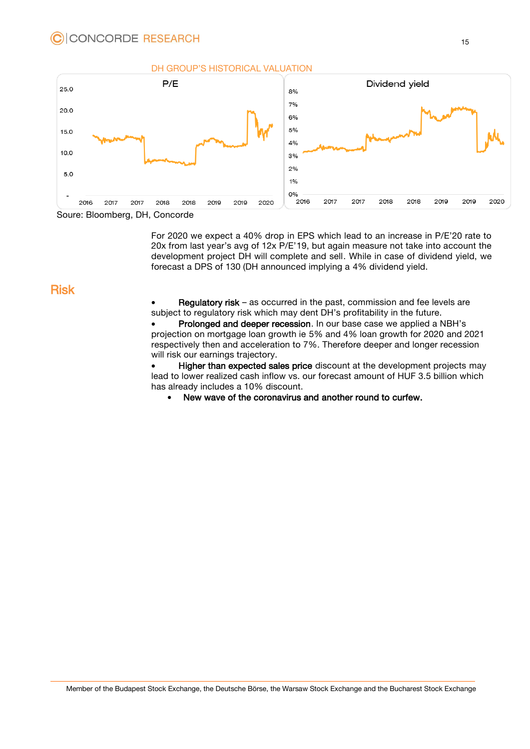



Soure: Bloomberg, DH, Concorde

For 2020 we expect a 40% drop in EPS which lead to an increase in P/E'20 rate to 20x from last year's avg of 12x P/E'19, but again measure not take into account the development project DH will complete and sell. While in case of dividend yield, we forecast a DPS of 130 (DH announced implying a 4% dividend yield.

# Risk

• Regulatory risk – as occurred in the past, commission and fee levels are subject to regulatory risk which may dent DH's profitability in the future.

 Prolonged and deeper recession. In our base case we applied a NBH's projection on mortgage loan growth ie 5% and 4% loan growth for 2020 and 2021 respectively then and acceleration to 7%. Therefore deeper and longer recession will risk our earnings trajectory.

• Higher than expected sales price discount at the development projects may lead to lower realized cash inflow vs. our forecast amount of HUF 3.5 billion which has already includes a 10% discount.

New wave of the coronavirus and another round to curfew.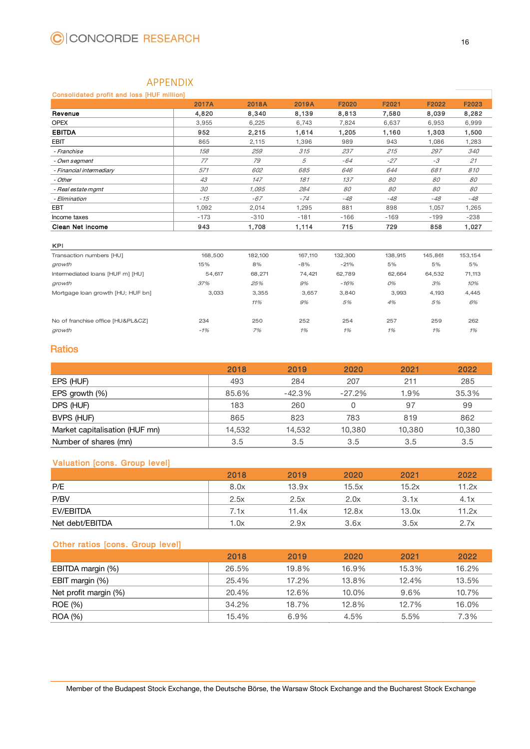# APPENDIX

#### <span id="page-15-0"></span>Consolidated profit and loss [HUF million]

|                          | <b>2017A</b> | 2018A  | 2019A  | F2020  | F2021  | F2022  | F2023  |
|--------------------------|--------------|--------|--------|--------|--------|--------|--------|
| Revenue                  | 4,820        | 8,340  | 8,139  | 8,813  | 7,580  | 8,039  | 8,282  |
| <b>OPEX</b>              | 3.955        | 6,225  | 6.743  | 7.824  | 6.637  | 6,953  | 6,999  |
| <b>EBITDA</b>            | 952          | 2,215  | 1,614  | 1.205  | 1.160  | 1.303  | 1,500  |
| EBIT                     | 865          | 2,115  | 1,396  | 989    | 943    | 1,086  | 1,283  |
| - Franchise              | 158          | 259    | 315    | 237    | 215    | 297    | 340    |
| - Own segment            | 77           | 79     | 5      | $-64$  | $-27$  | $-3$   | 21     |
| - Financial intermediary | 571          | 602    | 685    | 646    | 644    | 681    | 810    |
| - Other                  | 43           | 147    | 181    | 137    | 80     | 80     | 80     |
| - Real estate mgmt       | 30           | 1.095  | 284    | 80     | 80     | 80     | 80     |
| - Elimination            | $-15$        | $-67$  | $-74$  | $-48$  | $-48$  | $-48$  | $-48$  |
| <b>EBT</b>               | 1,092        | 2,014  | 1,295  | 881    | 898    | 1,057  | 1,265  |
| Income taxes             | $-173$       | $-310$ | $-181$ | $-166$ | $-169$ | $-199$ | $-238$ |
| Clean Net income         | 943          | 1,708  | 1,114  | 715    | 729    | 858    | 1,027  |

#### KPI

| <b>UITELL INTERNATION</b>         | っっし     | 1,7 U U | ,,,,,,, | ,,,     | 100     |         | ، ع∪, ا |
|-----------------------------------|---------|---------|---------|---------|---------|---------|---------|
|                                   |         |         |         |         |         |         |         |
| <b>KPI</b>                        |         |         |         |         |         |         |         |
| Transaction numbers [HU]          | 168,500 | 182,100 | 167,110 | 132,300 | 138,915 | 145,861 | 153,154 |
| growth                            | 15%     | 8%      | $-8%$   | $-21%$  | 5%      | 5%      | 5%      |
| Intermediated loans [HUF m] [HU]  | 54,617  | 68,271  | 74,421  | 62,789  | 62,664  | 64,532  | 71,113  |
| growth                            | 37%     | 25%     | 9%      | $-16%$  | 0%      | 3%      | 10%     |
| Mortgage loan growth [HU; HUF bn] | 3,033   | 3,355   | 3,657   | 3,840   | 3,993   | 4,193   | 4,445   |
|                                   |         | 11%     | 9%      | 5%      | 4%      | 5%      | 6%      |
|                                   |         |         |         |         |         |         |         |
| No of franchise office [HU&PL&CZ] | 234     | 250     | 252     | 254     | 257     | 259     | 262     |
| growth                            | $-1%$   | 7%      | 1%      | 1%      | 1%      | 1%      | 1%      |
|                                   |         |         |         |         |         |         |         |

# Ratios

| 2018   | 2019     | 2020     | 2021   | 2022   |
|--------|----------|----------|--------|--------|
| 493    | 284      | 207      | 211    | 285    |
| 85.6%  | $-42.3%$ | $-27.2%$ | 1.9%   | 35.3%  |
| 183    | 260      |          | 97     | 99     |
| 865    | 823      | 783      | 819    | 862    |
| 14,532 | 14.532   | 10.380   | 10.380 | 10,380 |
| 3.5    | 3.5      | 3.5      | 3.5    | 3.5    |
|        |          |          |        |        |

## Valuation [cons. Group level]

|                 | 2018 | 2019  | 2020  | 2021  | 2022  |
|-----------------|------|-------|-------|-------|-------|
| P/E             | 8.0x | 13.9x | 15.5x | 15.2x | 11.2x |
| P/BV            | 2.5x | 2.5x  | 2.0x  | 3.1x  | 4.1x  |
| EV/EBITDA       | 7.1x | 11.4x | 12.8x | 13.0x | 11.2x |
| Net debt/EBITDA | 1.0x | 2.9x  | 3.6x  | 3.5x  | 2.7x  |

## Other ratios [cons. Group level]

|                       | 2018  | 2019  | 2020  | 2021  | 2022  |
|-----------------------|-------|-------|-------|-------|-------|
| EBITDA margin (%)     | 26.5% | 19.8% | 16.9% | 15.3% | 16.2% |
| EBIT margin (%)       | 25.4% | 17.2% | 13.8% | 12.4% | 13.5% |
| Net profit margin (%) | 20.4% | 12.6% | 10.0% | 9.6%  | 10.7% |
| ROE (%)               | 34.2% | 18.7% | 12.8% | 12.7% | 16.0% |
| ROA (%)               | 15.4% | 6.9%  | 4.5%  | 5.5%  | 7.3%  |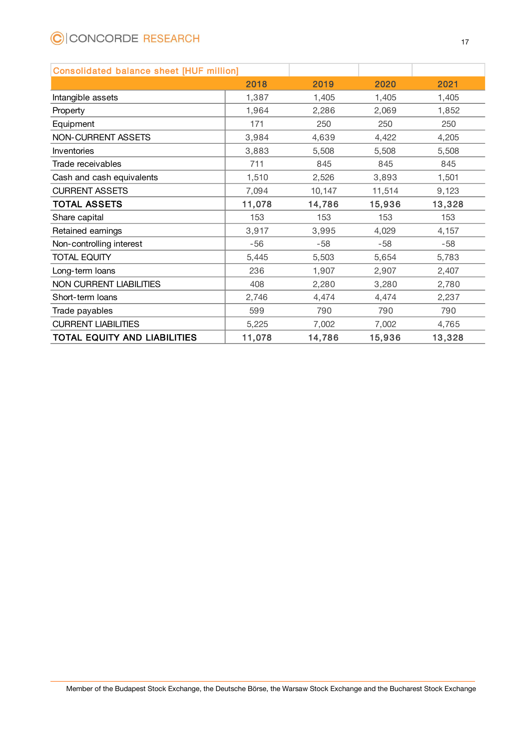# C CONCORDE RESEARCH

| <b>Consolidated balance sheet [HUF million]</b> |        |        |        |        |
|-------------------------------------------------|--------|--------|--------|--------|
|                                                 | 2018   | 2019   | 2020   | 2021   |
| Intangible assets                               | 1,387  | 1,405  | 1,405  | 1,405  |
| Property                                        | 1,964  | 2,286  | 2,069  | 1,852  |
| Equipment                                       | 171    | 250    | 250    | 250    |
| <b>NON-CURRENT ASSETS</b>                       | 3,984  | 4,639  | 4,422  | 4,205  |
| Inventories                                     | 3,883  | 5,508  | 5,508  | 5,508  |
| Trade receivables                               | 711    | 845    | 845    | 845    |
| Cash and cash equivalents                       | 1,510  | 2,526  | 3,893  | 1,501  |
| <b>CURRENT ASSETS</b>                           | 7,094  | 10,147 | 11,514 | 9,123  |
| <b>TOTAL ASSETS</b>                             | 11,078 | 14,786 | 15,936 | 13,328 |
| Share capital                                   | 153    | 153    | 153    | 153    |
| Retained earnings                               | 3,917  | 3,995  | 4,029  | 4,157  |
| Non-controlling interest                        | $-56$  | $-58$  | $-58$  | $-58$  |
| <b>TOTAL EQUITY</b>                             | 5,445  | 5,503  | 5,654  | 5,783  |
| Long-term loans                                 | 236    | 1,907  | 2,907  | 2,407  |
| <b>NON CURRENT LIABILITIES</b>                  | 408    | 2,280  | 3,280  | 2,780  |
| Short-term loans                                | 2,746  | 4,474  | 4,474  | 2,237  |
| Trade payables                                  | 599    | 790    | 790    | 790    |
| <b>CURRENT LIABILITIES</b>                      | 5,225  | 7,002  | 7,002  | 4,765  |
| TOTAL EQUITY AND LIABILITIES                    | 11,078 | 14,786 | 15,936 | 13,328 |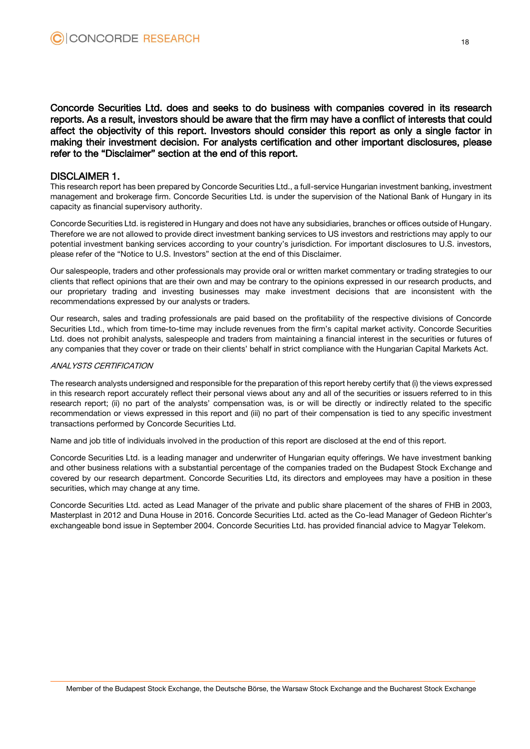Concorde Securities Ltd. does and seeks to do business with companies covered in its research reports. As a result, investors should be aware that the firm may have a conflict of interests that could affect the objectivity of this report. Investors should consider this report as only a single factor in making their investment decision. For analysts certification and other important disclosures, please refer to the "Disclaimer" section at the end of this report.

#### DISCLAIMER 1.

This research report has been prepared by Concorde Securities Ltd., a full-service Hungarian investment banking, investment management and brokerage firm. Concorde Securities Ltd. is under the supervision of the National Bank of Hungary in its capacity as financial supervisory authority.

Concorde Securities Ltd. is registered in Hungary and does not have any subsidiaries, branches or offices outside of Hungary. Therefore we are not allowed to provide direct investment banking services to US investors and restrictions may apply to our potential investment banking services according to your country's jurisdiction. For important disclosures to U.S. investors, please refer of the "Notice to U.S. Investors" section at the end of this Disclaimer.

Our salespeople, traders and other professionals may provide oral or written market commentary or trading strategies to our clients that reflect opinions that are their own and may be contrary to the opinions expressed in our research products, and our proprietary trading and investing businesses may make investment decisions that are inconsistent with the recommendations expressed by our analysts or traders.

Our research, sales and trading professionals are paid based on the profitability of the respective divisions of Concorde Securities Ltd., which from time-to-time may include revenues from the firm's capital market activity. Concorde Securities Ltd. does not prohibit analysts, salespeople and traders from maintaining a financial interest in the securities or futures of any companies that they cover or trade on their clients' behalf in strict compliance with the Hungarian Capital Markets Act.

#### ANALYSTS CERTIFICATION

The research analysts undersigned and responsible for the preparation of this report hereby certify that (i) the views expressed in this research report accurately reflect their personal views about any and all of the securities or issuers referred to in this research report; (ii) no part of the analysts' compensation was, is or will be directly or indirectly related to the specific recommendation or views expressed in this report and (iii) no part of their compensation is tied to any specific investment transactions performed by Concorde Securities Ltd.

Name and job title of individuals involved in the production of this report are disclosed at the end of this report.

Concorde Securities Ltd. is a leading manager and underwriter of Hungarian equity offerings. We have investment banking and other business relations with a substantial percentage of the companies traded on the Budapest Stock Exchange and covered by our research department. Concorde Securities Ltd, its directors and employees may have a position in these securities, which may change at any time.

Concorde Securities Ltd. acted as Lead Manager of the private and public share placement of the shares of FHB in 2003, Masterplast in 2012 and Duna House in 2016. Concorde Securities Ltd. acted as the Co-lead Manager of Gedeon Richter's exchangeable bond issue in September 2004. Concorde Securities Ltd. has provided financial advice to Magyar Telekom.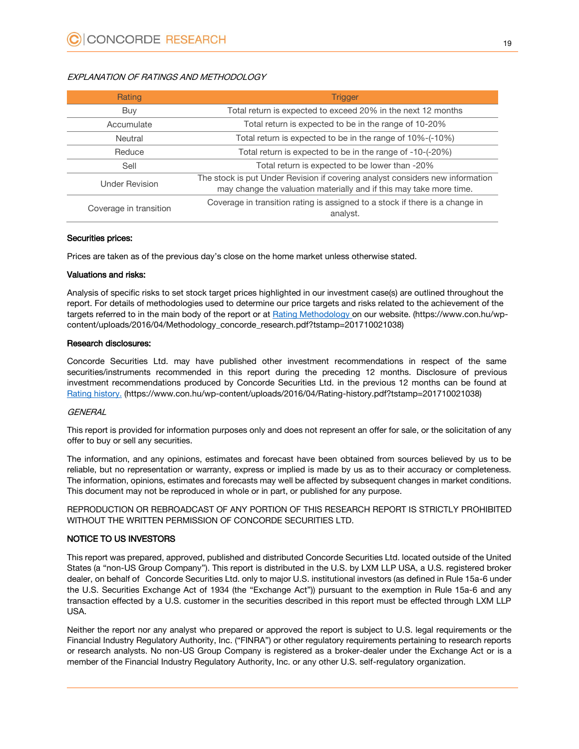#### EXPLANATION OF RATINGS AND METHODOLOGY

| Rating                 | <b>Trigger</b>                                                                                                                                       |
|------------------------|------------------------------------------------------------------------------------------------------------------------------------------------------|
| Buy                    | Total return is expected to exceed 20% in the next 12 months                                                                                         |
| Accumulate             | Total return is expected to be in the range of 10-20%                                                                                                |
| Neutral                | Total return is expected to be in the range of 10%-(-10%)                                                                                            |
| Reduce                 | Total return is expected to be in the range of -10-(-20%)                                                                                            |
| Sell                   | Total return is expected to be lower than -20%                                                                                                       |
| <b>Under Revision</b>  | The stock is put Under Revision if covering analyst considers new information<br>may change the valuation materially and if this may take more time. |
| Coverage in transition | Coverage in transition rating is assigned to a stock if there is a change in<br>analyst.                                                             |

#### Securities prices:

Prices are taken as of the previous day's close on the home market unless otherwise stated.

#### Valuations and risks:

Analysis of specific risks to set stock target prices highlighted in our investment case(s) are outlined throughout the report. For details of methodologies used to determine our price targets and risks related to the achievement of the targets referred to in the main body of the report or at [Rating Methodology](https://www.con.hu/wp-content/uploads/2016/04/Methodology_concorde_research.pdf?tstamp=201710021038) on our website. (https://www.con.hu/wpcontent/uploads/2016/04/Methodology\_concorde\_research.pdf?tstamp=201710021038)

#### Research disclosures:

Concorde Securities Ltd. may have published other investment recommendations in respect of the same securities/instruments recommended in this report during the preceding 12 months. Disclosure of previous investment recommendations produced by Concorde Securities Ltd. in the previous 12 months can be found at [Rating history.](https://www.con.hu/wp-content/uploads/2016/04/Rating-history.pdf?tstamp=201710021038) (https://www.con.hu/wp-content/uploads/2016/04/Rating-history.pdf?tstamp=201710021038)

#### **GENERAL**

This report is provided for information purposes only and does not represent an offer for sale, or the solicitation of any offer to buy or sell any securities.

The information, and any opinions, estimates and forecast have been obtained from sources believed by us to be reliable, but no representation or warranty, express or implied is made by us as to their accuracy or completeness. The information, opinions, estimates and forecasts may well be affected by subsequent changes in market conditions. This document may not be reproduced in whole or in part, or published for any purpose.

REPRODUCTION OR REBROADCAST OF ANY PORTION OF THIS RESEARCH REPORT IS STRICTLY PROHIBITED WITHOUT THE WRITTEN PERMISSION OF CONCORDE SECURITIES LTD.

#### NOTICE TO US INVESTORS

This report was prepared, approved, published and distributed Concorde Securities Ltd. located outside of the United States (a "non-US Group Company"). This report is distributed in the U.S. by LXM LLP USA, a U.S. registered broker dealer, on behalf of Concorde Securities Ltd. only to major U.S. institutional investors (as defined in Rule 15a-6 under the U.S. Securities Exchange Act of 1934 (the "Exchange Act")) pursuant to the exemption in Rule 15a-6 and any transaction effected by a U.S. customer in the securities described in this report must be effected through LXM LLP USA.

Neither the report nor any analyst who prepared or approved the report is subject to U.S. legal requirements or the Financial Industry Regulatory Authority, Inc. ("FINRA") or other regulatory requirements pertaining to research reports or research analysts. No non-US Group Company is registered as a broker-dealer under the Exchange Act or is a member of the Financial Industry Regulatory Authority, Inc. or any other U.S. self-regulatory organization.